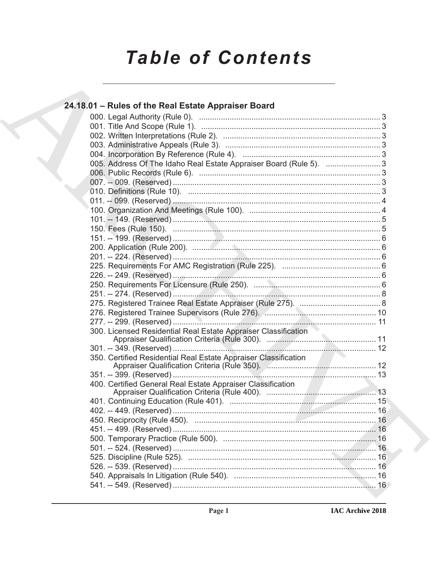# **Table of Contents**

# 24.18.01 – Rules of the Real Estate Appraiser Board 005. Address Of The Idaho Real Estate Appraiser Board (Rule 5). ..........................3 300. Licensed Residential Real Estate Appraiser Classification 350. Certified Residential Real Estate Appraiser Classification 400. Certified General Real Estate Appraiser Classification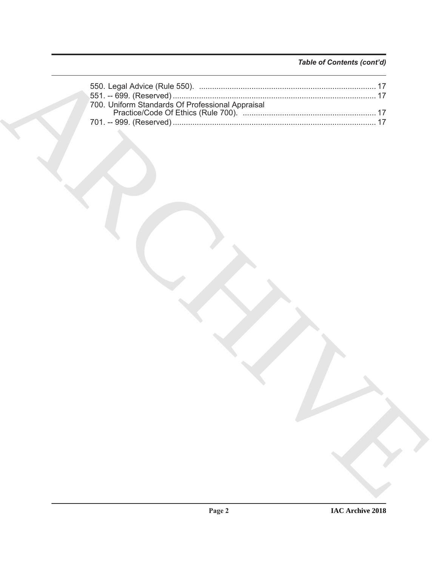# *Table of Contents (cont'd)*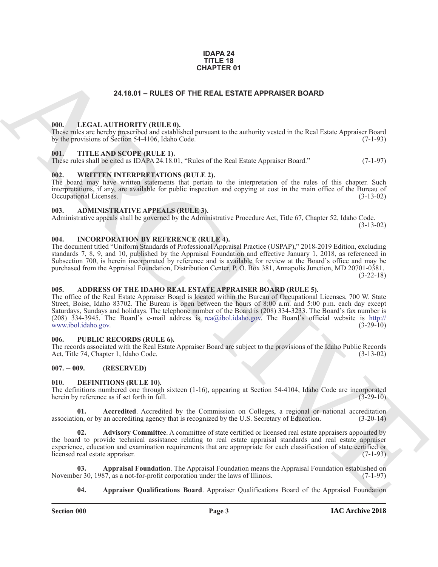#### **IDAPA 24 TITLE 18 CHAPTER 01**

# **24.18.01 – RULES OF THE REAL ESTATE APPRAISER BOARD**

#### <span id="page-2-18"></span><span id="page-2-1"></span><span id="page-2-0"></span>**000. LEGAL AUTHORITY (RULE 0).**

These rules are hereby prescribed and established pursuant to the authority vested in the Real Estate Appraiser Board by the provisions of Section 54-4106, Idaho Code. (7-1-93)

#### <span id="page-2-20"></span><span id="page-2-2"></span>**001. TITLE AND SCOPE (RULE 1).**

These rules shall be cited as IDAPA 24.18.01, "Rules of the Real Estate Appraiser Board." (7-1-97)

### <span id="page-2-21"></span><span id="page-2-3"></span>**002. WRITTEN INTERPRETATIONS (RULE 2).**

The board may have written statements that pertain to the interpretation of the rules of this chapter. Such interpretations, if any, are available for public inspection and copying at cost in the main office of the Bureau of Occupational Licenses. (3-13-02) Occupational Licenses.

### <span id="page-2-11"></span><span id="page-2-4"></span>**003. ADMINISTRATIVE APPEALS (RULE 3).**

Administrative appeals shall be governed by the Administrative Procedure Act, Title 67, Chapter 52, Idaho Code.

(3-13-02)

#### <span id="page-2-17"></span><span id="page-2-5"></span>**004. INCORPORATION BY REFERENCE (RULE 4).**

The document titled "Uniform Standards of Professional Appraisal Practice (USPAP)," 2018-2019 Edition, excluding standards 7, 8, 9, and 10, published by the Appraisal Foundation and effective January 1, 2018, as referenced in Subsection 700, is herein incorporated by reference and is available for review at the Board's office and may be purchased from the Appraisal Foundation, Distribution Center, P. O. Box 381, Annapolis Junction, MD 20701-0381. (3-22-18)

# <span id="page-2-10"></span><span id="page-2-6"></span>**005. ADDRESS OF THE IDAHO REAL ESTATE APPRAISER BOARD (RULE 5).**

**24.18.01 – RULES OF THE REAL ESTATE APPRAISER BOARD<br>
URL. LECAL ALTIDORITY (RULE)<br>
URL. LECAL ARC[HI](mailto:rea@ibol.idaho.gov)VERE TRANSFORM IN the animality vented in the Schultz Appendix Dentisian (2013)<br>
1995. THE ANS SCOPE (RULE 6).<br>
1995. THE** The office of the Real Estate Appraiser Board is located within the Bureau of Occupational Licenses, 700 W. State Street, Boise, Idaho 83702. The Bureau is open between the hours of 8:00 a.m. and 5:00 p.m. each day except Saturdays, Sundays and holidays. The telephone number of the Board is (208) 334-3233. The Board's fax number is (208) 334-3945. The Board's e-mail address is rea@ibol.idaho.gov. The Board's official website is http:// www.ibol.idaho.gov. (3-29-10)

#### <span id="page-2-19"></span><span id="page-2-7"></span>**006. PUBLIC RECORDS (RULE 6).**

The records associated with the Real Estate Appraiser Board are subject to the provisions of the Idaho Public Records Act, Title 74, Chapter 1, Idaho Code. (3-13-02)

# <span id="page-2-8"></span>**007. -- 009. (RESERVED)**

#### <span id="page-2-12"></span><span id="page-2-9"></span>**010. DEFINITIONS (RULE 10).**

The definitions numbered one through sixteen (1-16), appearing at Section 54-4104, Idaho Code are incorporated herein by reference as if set forth in full.  $(3-29-10)$ 

<span id="page-2-13"></span>**01. Accredited**. Accredited by the Commission on Colleges, a regional or national accreditation association, or by an accrediting agency that is recognized by the U.S. Secretary of Education. (3-20-14)

<span id="page-2-14"></span>Advisory Committee. A committee of state certified or licensed real estate appraisers appointed by the board to provide technical assistance relating to real estate appraisal standards and real estate appraiser experience, education and examination requirements that are appropriate for each classification of state certified or licensed real estate appraiser. (7-1-93) licensed real estate appraiser.

**03. Appraisal Foundation**. The Appraisal Foundation means the Appraisal Foundation established on November 30, 1987, as a not-for-profit corporation under the laws of Illinois. (7-1-97)

<span id="page-2-16"></span><span id="page-2-15"></span>**04. Appraiser Qualifications Board**. Appraiser Qualifications Board of the Appraisal Foundation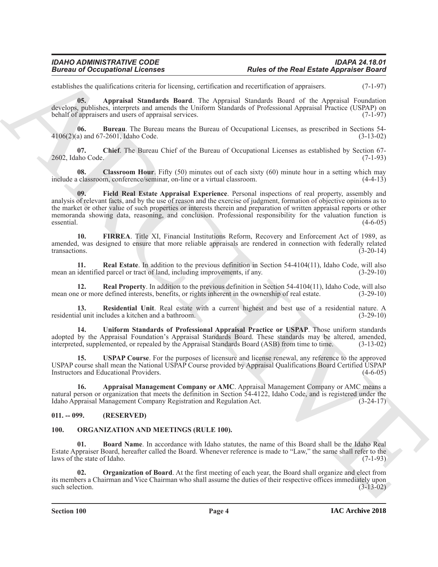establishes the qualifications criteria for licensing, certification and recertification of appraisers. (7-1-97)

<span id="page-3-3"></span>**05. Appraisal Standards Board**. The Appraisal Standards Board of the Appraisal Foundation develops, publishes, interprets and amends the Uniform Standards of Professional Appraisal Practice (USPAP) on behalf of appraisers and users of appraisal services. (7-1-97)

<span id="page-3-4"></span>**06. Bureau**. The Bureau means the Bureau of Occupational Licenses, as prescribed in Sections 54- 4106(2)(a) and 67-2601, Idaho Code. (3-13-02)

<span id="page-3-5"></span>**07. Chief**. The Bureau Chief of the Bureau of Occupational Licenses as established by Section 67- 2602, Idaho Code. (7-1-93)

<span id="page-3-7"></span><span id="page-3-6"></span>**08. Classroom Hour**. Fifty (50) minutes out of each sixty (60) minute hour in a setting which may include a classroom, conference/seminar, on-line or a virtual classroom. (4-4-13)

**Example of Decemberia Control of the Real Estate Appendix Control of the Real Estate Appendix Control of the Control of the Control of the Control of the Control of the Control of the Control of the Control of the Contro 09. Field Real Estate Appraisal Experience**. Personal inspections of real property, assembly and analysis of relevant facts, and by the use of reason and the exercise of judgment, formation of objective opinions as to the market or other value of such properties or interests therein and preparation of written appraisal reports or other memoranda showing data, reasoning, and conclusion. Professional responsibility for the valuation function is  $\epsilon$  essential.  $(4-6-05)$ 

<span id="page-3-8"></span>**10. FIRREA**. Title XI, Financial Institutions Reform, Recovery and Enforcement Act of 1989, as amended, was designed to ensure that more reliable appraisals are rendered in connection with federally related transactions. (3-20-14)

<span id="page-3-9"></span>**11. Real Estate**. In addition to the previous definition in Section 54-4104(11), Idaho Code, will also mean an identified parcel or tract of land, including improvements, if any. (3-29-10)

<span id="page-3-10"></span>**12. Real Property**. In addition to the previous definition in Section 54-4104(11), Idaho Code, will also mean one or more defined interests, benefits, or rights inherent in the ownership of real estate. (3-29-10)

<span id="page-3-11"></span>**13. Residential Unit**. Real estate with a current highest and best use of a residential nature. A residential unit includes a kitchen and a bathroom. (3-29-10)

<span id="page-3-12"></span>**14. Uniform Standards of Professional Appraisal Practice or USPAP**. Those uniform standards adopted by the Appraisal Foundation's Appraisal Standards Board. These standards may be altered, amended, interpreted, supplemented, or repealed by the Appraisal Standards Board (ASB) from time to time. (3-13-02)

<span id="page-3-13"></span>**15. USPAP Course**. For the purposes of licensure and license renewal, any reference to the approved USPAP course shall mean the National USPAP Course provided by Appraisal Qualifications Board Certified USPAP Instructors and Educational Providers. (4-6-05)

<span id="page-3-2"></span>**16. Appraisal Management Company or AMC**. Appraisal Management Company or AMC means a natural person or organization that meets the definition in Section 54-4122, Idaho Code, and is registered under the Idaho Appraisal Management Company Registration and Regulation Act. (3-24-17)

# <span id="page-3-0"></span>**011. -- 099. (RESERVED)**

# <span id="page-3-14"></span><span id="page-3-1"></span>**100. ORGANIZATION AND MEETINGS (RULE 100).**

<span id="page-3-15"></span>**01. Board Name**. In accordance with Idaho statutes, the name of this Board shall be the Idaho Real Estate Appraiser Board, hereafter called the Board. Whenever reference is made to "Law," the same shall refer to the laws of the state of Idaho.

<span id="page-3-16"></span>**02. Organization of Board**. At the first meeting of each year, the Board shall organize and elect from its members a Chairman and Vice Chairman who shall assume the duties of their respective offices immediately upon such selection. (3-13-02)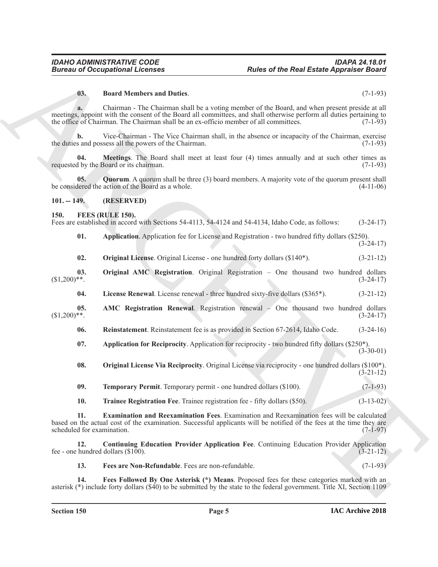#### <span id="page-4-17"></span>**03. Board Members and Duties**. (7-1-93)

**a.** Chairman - The Chairman shall be a voting member of the Board, and when present preside at all meetings, appoint with the consent of the Board all committees, and shall otherwise perform all duties pertaining to the office of Chairman. The Chairman shall be an ex-officio member of all committees. (7-1-93)

**b.** Vice-Chairman - The Vice Chairman shall, in the absence or incapacity of the Chairman, exercise the duties and possess all the powers of the Chairman. (7-1-93)

<span id="page-4-18"></span>**04. Meetings**. The Board shall meet at least four (4) times annually and at such other times as requested by the Board or its chairman. (7-1-93)

<span id="page-4-19"></span>**05. Quorum**. A quorum shall be three (3) board members. A majority vote of the quorum present shall be considered the action of the Board as a whole. (4-11-06)

#### <span id="page-4-0"></span>**101. -- 149. (RESERVED)**

#### <span id="page-4-2"></span><span id="page-4-1"></span>**150. FEES (RULE 150).**

| Fees are established in accord with Sections 54-4113, 54-4124 and 54-4134. Idaho Code, as follows: |  |  |  |  |  |  | $(3-24-17)$ |  |
|----------------------------------------------------------------------------------------------------|--|--|--|--|--|--|-------------|--|
|                                                                                                    |  |  |  |  |  |  |             |  |

<span id="page-4-4"></span>**01. Application**. Application fee for License and Registration - two hundred fifty dollars (\$250).  $(3-24-17)$ 

<span id="page-4-12"></span><span id="page-4-11"></span>**02. Original License**. Original License - one hundred forty dollars (\$140<sup>\*</sup>). (3-21-12)

**03. Original AMC Registration**. Original Registration – One thousand two hundred dollars  $(3.200)$ <sup>\*\*</sup>. (3-24-17)

<span id="page-4-10"></span><span id="page-4-3"></span>**04. License Renewal**. License renewal - three hundred sixty-five dollars (\$365\*). (3-21-12)

**05. AMC Registration Renewal**. Registration renewal – One thousand two hundred dollars  $(3.200)*$ . (3-24-17)

<span id="page-4-14"></span>**06. Reinstatement**. Reinstatement fee is as provided in Section 67-2614, Idaho Code. (3-24-16)

<span id="page-4-5"></span>**07.** Application for Reciprocity. Application for reciprocity - two hundred fifty dollars (\$250\*).  $(3-30-01)$ 

<span id="page-4-13"></span>**08. Original License Via Reciprocity**. Original License via reciprocity - one hundred dollars (\$100\*). (3-21-12)

<span id="page-4-15"></span>**09. Temporary Permit**. Temporary permit - one hundred dollars (\$100). (7-1-93)

<span id="page-4-16"></span><span id="page-4-7"></span>**10. Trainee Registration Fee**. Trainee registration fee - fifty dollars (\$50). (3-13-02)

**Euros of Occupations I. Forms and Busines References and the Rest Estate Appleman of the Press Control 2013<br>
Business and Details are control and the set of the Bond, and what process product and the set of the Control 2 11. Examination and Reexamination Fees**. Examination and Reexamination fees will be calculated based on the actual cost of the examination. Successful applicants will be notified of the fees at the time they are scheduled for examination.

**12. Continuing Education Provider Application Fee**. Continuing Education Provider Application fee - one hundred dollars  $(\text{\$100}).$  (3-21-12)

<span id="page-4-9"></span><span id="page-4-8"></span><span id="page-4-6"></span>**13. Fees are Non-Refundable**. Fees are non-refundable. (7-1-93)

**14. Fees Followed By One Asterisk (\*) Means**. Proposed fees for these categories marked with an asterisk (\*) include forty dollars (\$40) to be submitted by the state to the federal government. Title XI, Section 1109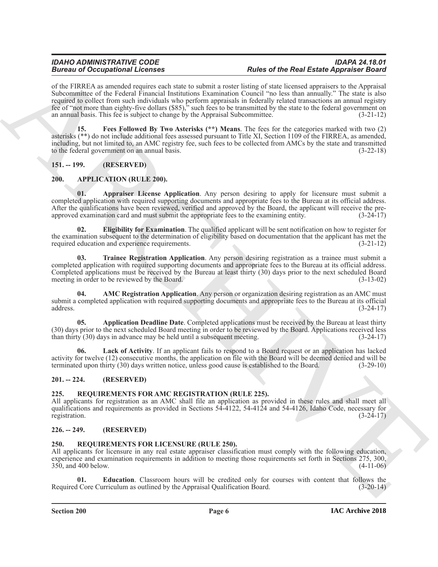# *IDAHO ADMINISTRATIVE CODE IDAPA 24.18.01* **Rules of the Real Estate Appraiser Board**

**Example 20** Conception Theorem 20 Constraints of the Real Example 20 Conception of the Constraints of the Constraints of the Constraints of the Constraints of the Constraints of the Constraints of the Constraints of the of the FIRREA as amended requires each state to submit a roster listing of state licensed appraisers to the Appraisal Subcommittee of the Federal Financial Institutions Examination Council "no less than annually." The state is also required to collect from such individuals who perform appraisals in federally related transactions an annual registry fee of "not more than eighty-five dollars (\$85)," such fees to be transmitted by the state to the federal government on an annual basis. This fee is subject to change by the Appraisal Subcommittee. (3-21-12)

<span id="page-5-13"></span>**15. Fees Followed By Two Asterisks (\*\*) Means**. The fees for the categories marked with two (2) asterisks (\*\*) do not include additional fees assessed pursuant to Title XI, Section 1109 of the FIRREA, as amended, including, but not limited to, an AMC registry fee, such fees to be collected from AMCs by the state and transmitted to the federal government on an annual basis. (3-22-18)

<span id="page-5-0"></span>**151. -- 199. (RESERVED)**

# <span id="page-5-6"></span><span id="page-5-1"></span>**200. APPLICATION (RULE 200).**

<span id="page-5-9"></span>**01. Appraiser License Application**. Any person desiring to apply for licensure must submit a completed application with required supporting documents and appropriate fees to the Bureau at its official address. After the qualifications have been reviewed, verified and approved by the Board, the applicant will receive the preapproved examination card and must submit the appropriate fees to the examining entity. (3-24-17)

<span id="page-5-10"></span>**02. Eligibility for Examination**. The qualified applicant will be sent notification on how to register for the examination subsequent to the determination of eligibility based on documentation that the applicant has met the required education and experience requirements. (3-21-12) required education and experience requirements.

<span id="page-5-12"></span>**03. Trainee Registration Application**. Any person desiring registration as a trainee must submit a completed application with required supporting documents and appropriate fees to the Bureau at its official address. Completed applications must be received by the Bureau at least thirty (30) days prior to the next scheduled Board meeting in order to be reviewed by the Board. (3-13-02) meeting in order to be reviewed by the Board.

<span id="page-5-7"></span>**04. AMC Registration Application**. Any person or organization desiring registration as an AMC must submit a completed application with required supporting documents and appropriate fees to the Bureau at its official address. (3-24-17)  $address.$  (3-24-17)

<span id="page-5-8"></span>**05. Application Deadline Date**. Completed applications must be received by the Bureau at least thirty (30) days prior to the next scheduled Board meeting in order to be reviewed by the Board. Applications received less than thirty (30) days in advance may be held until a subsequent meeting. (3-24-17)

<span id="page-5-11"></span>**06. Lack of Activity**. If an applicant fails to respond to a Board request or an application has lacked activity for twelve (12) consecutive months, the application on file with the Board will be deemed denied and will be terminated upon thirty (30) days written notice, unless good cause is established to the Board. (3-29-10 terminated upon thirty (30) days written notice, unless good cause is established to the Board.

# <span id="page-5-2"></span>**201. -- 224. (RESERVED)**

# <span id="page-5-14"></span><span id="page-5-3"></span>**225. REQUIREMENTS FOR AMC REGISTRATION (RULE 225).**

All applicants for registration as an AMC shall file an application as provided in these rules and shall meet all qualifications and requirements as provided in Sections 54-4122, 54-4124 and 54-4126, Idaho Code, necessary for registration. (3-24-17)

# <span id="page-5-4"></span>**226. -- 249. (RESERVED)**

# <span id="page-5-15"></span><span id="page-5-5"></span>**250. REQUIREMENTS FOR LICENSURE (RULE 250).**

All applicants for licensure in any real estate appraiser classification must comply with the following education, experience and examination requirements in addition to meeting those requirements set forth in Sections 275, 300, 350, and 400 below. (4-11-06)

<span id="page-5-16"></span>**01. Education**. Classroom hours will be credited only for courses with content that follows the Required Core Curriculum as outlined by the Appraisal Qualification Board. (3-20-14)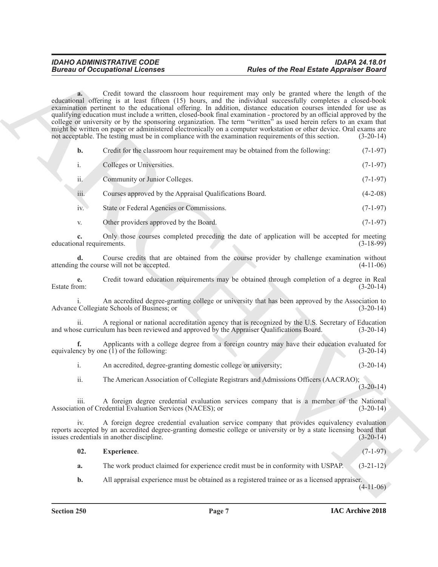## *IDAHO ADMINISTRATIVE CODE IDAPA 24.18.01* **Rules of the Real Estate Appraiser Board**

**Eurosia of Occupations I.** Rates of the Real Estate Appendix Chieral<br>
extension in Contact the Columbian Contact and Sciences in the Columbian Columbian Chieral Chiese (1998)<br>
equality and Columbian Chiese (1998) and Col **a.** Credit toward the classroom hour requirement may only be granted where the length of the educational offering is at least fifteen (15) hours, and the individual successfully completes a closed-book examination pertinent to the educational offering. In addition, distance education courses intended for use as qualifying education must include a written, closed-book final examination - proctored by an official approved by the college or university or by the sponsoring organization. The term "written" as used herein refers to an exam that might be written on paper or administered electronically on a computer workstation or other device. Oral exams are not acceptable. The testing must be in compliance with the examination requirements of this section. (3-20-14)

| Credit for the classroom hour requirement may be obtained from the following: | $(7-1-97)$ |
|-------------------------------------------------------------------------------|------------|
|                                                                               |            |

|     | Colleges or Universities.     | $(7-1-97)$ |
|-----|-------------------------------|------------|
| ii. | Community or Junior Colleges. | $(7-1-97)$ |

iii. Courses approved by the Appraisal Qualifications Board. (4-2-08)

iv. State or Federal Agencies or Commissions. (7-1-97)

v. Other providers approved by the Board. (7-1-97)

**c.** Only those courses completed preceding the date of application will be accepted for meeting nal requirements. (3-18-99) educational requirements.

**d.** Course credits that are obtained from the course provider by challenge examination without the course will not be accepted. (4-11-06) attending the course will not be accepted.

**e.** Credit toward education requirements may be obtained through completion of a degree in Real<br>(3-20-14) Estate from:  $(3-20-14)$ 

i. An accredited degree-granting college or university that has been approved by the Association to Advance Collegiate Schools of Business; or (3-20-14)

ii. A regional or national accreditation agency that is recognized by the U.S. Secretary of Education<br>se curriculum has been reviewed and approved by the Appraiser Qualifications Board. (3-20-14) and whose curriculum has been reviewed and approved by the Appraiser Qualifications Board.

**f.** Applicants with a college degree from a foreign country may have their education evaluated for equivalency by one (1) of the following: (3-20-14)

i. An accredited, degree-granting domestic college or university; (3-20-14)

ii. The American Association of Collegiate Registrars and Admissions Officers (AACRAO);  $(3-20-14)$ 

iii. A foreign degree credential evaluation services company that is a member of the National<br>ion of Credential Evaluation Services (NACES); or (3-20-14) Association of Credential Evaluation Services (NACES); or

A foreign degree credential evaluation service company that provides equivalency evaluation reports accepted by an accredited degree-granting domestic college or university or by a state licensing board that issues credentials in another discipline. (3-20-14) issues credentials in another discipline.

<span id="page-6-0"></span>**02. Experience**. (7-1-97)

**a.** The work product claimed for experience credit must be in conformity with USPAP. (3-21-12)

**b.** All appraisal experience must be obtained as a registered trainee or as a licensed appraiser.

 $(4-11-06)$ 

**Section 250 Page 7**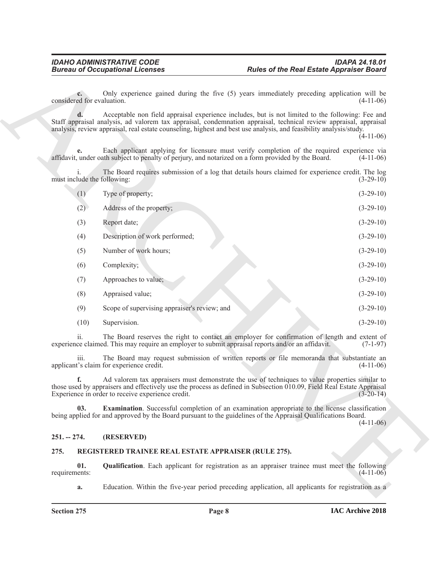|                                           | <b>Bureau of Occupational Licenses</b>               | <b>Rules of the Real Estate Appraiser Board</b>                                                                                                                                                                                                                                                                                                            |            |  |
|-------------------------------------------|------------------------------------------------------|------------------------------------------------------------------------------------------------------------------------------------------------------------------------------------------------------------------------------------------------------------------------------------------------------------------------------------------------------------|------------|--|
| $c_{\cdot}$<br>considered for evaluation. |                                                      | Only experience gained during the five (5) years immediately preceding application will be<br>$(4-11-06)$                                                                                                                                                                                                                                                  |            |  |
|                                           |                                                      | Acceptable non field appraisal experience includes, but is not limited to the following: Fee and<br>Staff appraisal analysis, ad valorem tax appraisal, condemnation appraisal, technical review appraisal, appraisal<br>analysis, review appraisal, real estate counseling, highest and best use analysis, and feasibility analysis/study.<br>$(4-11-06)$ |            |  |
| e.                                        |                                                      | Each applicant applying for licensure must verify completion of the required experience via<br>affidavit, under oath subject to penalty of perjury, and notarized on a form provided by the Board.<br>$(4-11-06)$                                                                                                                                          |            |  |
| must include the following:               |                                                      | The Board requires submission of a log that details hours claimed for experience credit. The log<br>$(3-29-10)$                                                                                                                                                                                                                                            |            |  |
| (1)                                       | Type of property;                                    | $(3-29-10)$                                                                                                                                                                                                                                                                                                                                                |            |  |
| (2)                                       | Address of the property;                             | $(3-29-10)$                                                                                                                                                                                                                                                                                                                                                |            |  |
| (3)                                       | Report date;                                         | $(3-29-10)$                                                                                                                                                                                                                                                                                                                                                |            |  |
| (4)                                       | Description of work performed;                       | $(3-29-10)$                                                                                                                                                                                                                                                                                                                                                |            |  |
| (5)                                       | Number of work hours;                                | $(3-29-10)$                                                                                                                                                                                                                                                                                                                                                |            |  |
| (6)                                       | Complexity;                                          | $(3-29-10)$                                                                                                                                                                                                                                                                                                                                                |            |  |
| (7)                                       | Approaches to value;                                 | $(3-29-10)$                                                                                                                                                                                                                                                                                                                                                |            |  |
| (8)                                       | Appraised value;                                     | $(3-29-10)$                                                                                                                                                                                                                                                                                                                                                |            |  |
| (9)                                       | Scope of supervising appraiser's review; and         | $(3-29-10)$                                                                                                                                                                                                                                                                                                                                                |            |  |
| (10)                                      | Supervision.                                         | $(3-29-10)$                                                                                                                                                                                                                                                                                                                                                |            |  |
| 11.                                       |                                                      | The Board reserves the right to contact an employer for confirmation of length and extent of<br>experience claimed. This may require an employer to submit appraisal reports and/or an affidavit.                                                                                                                                                          | $(7-1-97)$ |  |
| 111.                                      | applicant's claim for experience credit.             | The Board may request submission of written reports or file memoranda that substantiate an<br>$(4-11-06)$                                                                                                                                                                                                                                                  |            |  |
| f.                                        | Experience in order to receive experience credit.    | Ad valorem tax appraisers must demonstrate the use of techniques to value properties similar to<br>those used by appraisers and effectively use the process as defined in Subsection 010.09, Field Real Estate Appraisal<br>$(3-20-14)$                                                                                                                    |            |  |
| 03.                                       |                                                      | <b>Examination</b> . Successful completion of an examination appropriate to the license classification<br>being applied for and approved by the Board pursuant to the guidelines of the Appraisal Qualifications Board.<br>$(4-11-06)$                                                                                                                     |            |  |
| $251. - 274.$                             | (RESERVED)                                           |                                                                                                                                                                                                                                                                                                                                                            |            |  |
| 275.                                      | REGISTERED TRAINEE REAL ESTATE APPRAISER (RULE 275). |                                                                                                                                                                                                                                                                                                                                                            |            |  |
| 01.<br>requirements:                      |                                                      | Qualification. Each applicant for registration as an appraiser trainee must meet the following<br>$(4-11-06)$                                                                                                                                                                                                                                              |            |  |
| a.                                        |                                                      | Education. Within the five-year period preceding application, all applicants for registration as a                                                                                                                                                                                                                                                         |            |  |

### <span id="page-7-4"></span><span id="page-7-0"></span>**251. -- 274. (RESERVED)**

#### <span id="page-7-3"></span><span id="page-7-2"></span><span id="page-7-1"></span>**275. REGISTERED TRAINEE REAL ESTATE APPRAISER (RULE 275).**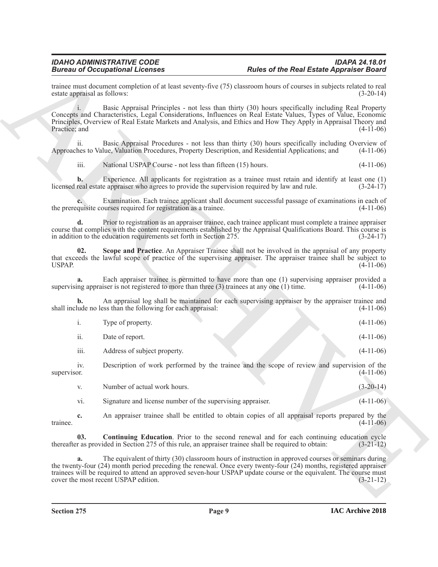<span id="page-8-1"></span><span id="page-8-0"></span>

|                              | <b>Bureau of Occupational Licenses</b>                                                           | <b>Rules of the Real Estate Appraiser Board</b>                                                                                                                                                                                                                                                                                               |             |
|------------------------------|--------------------------------------------------------------------------------------------------|-----------------------------------------------------------------------------------------------------------------------------------------------------------------------------------------------------------------------------------------------------------------------------------------------------------------------------------------------|-------------|
| estate appraisal as follows: |                                                                                                  | trainee must document completion of at least seventy-five (75) classroom hours of courses in subjects related to real                                                                                                                                                                                                                         | $(3-20-14)$ |
| Practice; and                |                                                                                                  | Basic Appraisal Principles - not less than thirty (30) hours specifically including Real Property<br>Concepts and Characteristics, Legal Considerations, Influences on Real Estate Values, Types of Value, Economic<br>Principles, Overview of Real Estate Markets and Analysis, and Ethics and How They Apply in Appraisal Theory and        | $(4-11-06)$ |
| 11.                          |                                                                                                  | Basic Appraisal Procedures - not less than thirty (30) hours specifically including Overview of<br>Approaches to Value, Valuation Procedures, Property Description, and Residential Applications; and                                                                                                                                         | $(4-11-06)$ |
| iii.                         | National USPAP Course - not less than fifteen (15) hours.                                        |                                                                                                                                                                                                                                                                                                                                               | $(4-11-06)$ |
| $\mathbf{b}$ .               | licensed real estate appraiser who agrees to provide the supervision required by law and rule.   | Experience. All applicants for registration as a trainee must retain and identify at least one (1)                                                                                                                                                                                                                                            | $(3-24-17)$ |
|                              | the prerequisite courses required for registration as a trainee.                                 | Examination. Each trainee applicant shall document successful passage of examinations in each of                                                                                                                                                                                                                                              | $(4-11-06)$ |
| d.                           | in addition to the education requirements set forth in Section 275.                              | Prior to registration as an appraiser trainee, each trainee applicant must complete a trainee appraiser<br>course that complies with the content requirements established by the Appraisal Qualifications Board. This course is                                                                                                               | $(3-24-17)$ |
| 02.<br>USPAP.                |                                                                                                  | Scope and Practice. An Appraiser Trainee shall not be involved in the appraisal of any property<br>that exceeds the lawful scope of practice of the supervising appraiser. The appraiser trainee shall be subject to                                                                                                                          | $(4-11-06)$ |
| a.                           | supervising appraiser is not registered to more than three $(3)$ trainees at any one $(1)$ time. | Each appraiser trainee is permitted to have more than one (1) supervising appraiser provided a                                                                                                                                                                                                                                                | $(4-11-06)$ |
| $\mathbf{b}$ .               | shall include no less than the following for each appraisal:                                     | An appraisal log shall be maintained for each supervising appraiser by the appraiser trainee and                                                                                                                                                                                                                                              | $(4-11-06)$ |
| i.                           | Type of property.                                                                                |                                                                                                                                                                                                                                                                                                                                               | $(4-11-06)$ |
| ii.                          | Date of report.                                                                                  |                                                                                                                                                                                                                                                                                                                                               | $(4-11-06)$ |
| iii.                         | Address of subject property.                                                                     |                                                                                                                                                                                                                                                                                                                                               | $(4-11-06)$ |
| iv.<br>supervisor.           |                                                                                                  | Description of work performed by the trainee and the scope of review and supervision of the                                                                                                                                                                                                                                                   | $(4-11-06)$ |
| V.                           | Number of actual work hours.                                                                     |                                                                                                                                                                                                                                                                                                                                               | $(3-20-14)$ |
| vi.                          | Signature and license number of the supervising appraiser.                                       |                                                                                                                                                                                                                                                                                                                                               | $(4-11-06)$ |
| c.<br>trainee.               |                                                                                                  | An appraiser trainee shall be entitled to obtain copies of all appraisal reports prepared by the                                                                                                                                                                                                                                              | $(4-11-06)$ |
| 03.                          |                                                                                                  | <b>Continuing Education.</b> Prior to the second renewal and for each continuing education cycle<br>thereafter as provided in Section 275 of this rule, an appraiser trainee shall be required to obtain:                                                                                                                                     | $(3-21-12)$ |
| a.                           | cover the most recent USPAP edition.                                                             | The equivalent of thirty (30) classroom hours of instruction in approved courses or seminars during<br>the twenty-four (24) month period preceding the renewal. Once every twenty-four (24) months, registered appraiser<br>trainees will be required to attend an approved seven-hour USPAP update course or the equivalent. The course must | $(3-21-12)$ |
|                              |                                                                                                  |                                                                                                                                                                                                                                                                                                                                               |             |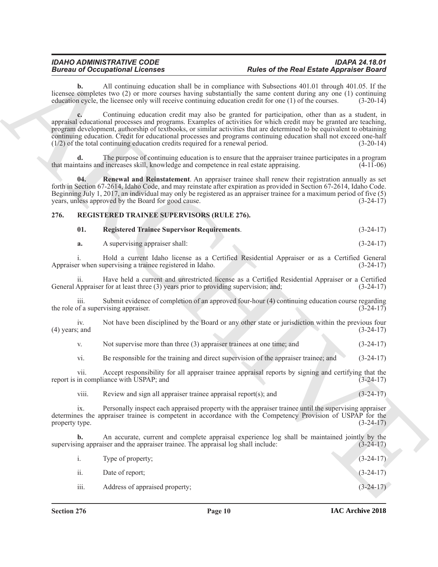# <span id="page-9-0"></span>**276. REGISTERED TRAINEE SUPERVISORS (RULE 276).**

<span id="page-9-3"></span><span id="page-9-2"></span><span id="page-9-1"></span>

|  | <b>Registered Trainee Supervisor Requirements.</b> | $(3-24-17)$ |
|--|----------------------------------------------------|-------------|
|--|----------------------------------------------------|-------------|

| A supervising appraiser shall: | $(3-24-17)$ |
|--------------------------------|-------------|
|                                |             |

| Not supervise more than three $(3)$ appraiser trainees at one time; and |  |  |  |  | $(3-24-17)$ |  |
|-------------------------------------------------------------------------|--|--|--|--|-------------|--|
|-------------------------------------------------------------------------|--|--|--|--|-------------|--|

|                         | <b>Bureau of Occupational Licenses</b>                                                  | <b>Rules of the Real Estate Appraiser Board</b>                                                                                                                                                                                                                                                                                                                                                                                                                     |             |  |  |
|-------------------------|-----------------------------------------------------------------------------------------|---------------------------------------------------------------------------------------------------------------------------------------------------------------------------------------------------------------------------------------------------------------------------------------------------------------------------------------------------------------------------------------------------------------------------------------------------------------------|-------------|--|--|
| b.                      |                                                                                         | All continuing education shall be in compliance with Subsections 401.01 through 401.05. If the<br>licensee completes two (2) or more courses having substantially the same content during any one (1) continuing<br>education cycle, the licensee only will receive continuing education credit for one (1) of the courses.                                                                                                                                         | $(3-20-14)$ |  |  |
|                         | $(1/2)$ of the total continuing education credits required for a renewal period.        | Continuing education credit may also be granted for participation, other than as a student, in<br>appraisal educational processes and programs. Examples of activities for which credit may be granted are teaching,<br>program development, authorship of textbooks, or similar activities that are determined to be equivalent to obtaining<br>continuing education. Credit for educational processes and programs continuing education shall not exceed one-half | $(3-20-14)$ |  |  |
| d.                      | that maintains and increases skill, knowledge and competence in real estate appraising. | The purpose of continuing education is to ensure that the appraiser trainee participates in a program                                                                                                                                                                                                                                                                                                                                                               | $(4-11-06)$ |  |  |
| 04.                     | years, unless approved by the Board for good cause.                                     | Renewal and Reinstatement. An appraiser trainee shall renew their registration annually as set<br>forth in Section 67-2614, Idaho Code, and may reinstate after expiration as provided in Section 67-2614, Idaho Code.<br>Beginning July 1, 2017, an individual may only be registered as an appraiser trainee for a maximum period of five (5)                                                                                                                     | $(3-24-17)$ |  |  |
| 276.                    | <b>REGISTERED TRAINEE SUPERVISORS (RULE 276).</b>                                       |                                                                                                                                                                                                                                                                                                                                                                                                                                                                     |             |  |  |
| 01.                     | <b>Registered Trainee Supervisor Requirements.</b>                                      |                                                                                                                                                                                                                                                                                                                                                                                                                                                                     | $(3-24-17)$ |  |  |
| a.                      | A supervising appraiser shall:                                                          |                                                                                                                                                                                                                                                                                                                                                                                                                                                                     | $(3-24-17)$ |  |  |
| i.                      | Appraiser when supervising a trainee registered in Idaho.                               | Hold a current Idaho license as a Certified Residential Appraiser or as a Certified General                                                                                                                                                                                                                                                                                                                                                                         | $(3-24-17)$ |  |  |
| $\overline{11}$ .       | General Appraiser for at least three (3) years prior to providing supervision; and;     | Have held a current and unrestricted license as a Certified Residential Appraiser or a Certified                                                                                                                                                                                                                                                                                                                                                                    | $(3-24-17)$ |  |  |
| $\overline{111}$ .      | the role of a supervising appraiser.                                                    | Submit evidence of completion of an approved four-hour (4) continuing education course regarding                                                                                                                                                                                                                                                                                                                                                                    | $(3-24-17)$ |  |  |
| iv.<br>$(4)$ years; and |                                                                                         | Not have been disciplined by the Board or any other state or jurisdiction within the previous four                                                                                                                                                                                                                                                                                                                                                                  | $(3-24-17)$ |  |  |
| V.                      | Not supervise more than three $(3)$ appraiser trainees at one time; and                 |                                                                                                                                                                                                                                                                                                                                                                                                                                                                     | $(3-24-17)$ |  |  |
| vi.                     |                                                                                         | Be responsible for the training and direct supervision of the appraiser trainee; and                                                                                                                                                                                                                                                                                                                                                                                | $(3-24-17)$ |  |  |
| vii.                    | report is in compliance with USPAP; and                                                 | Accept responsibility for all appraiser trainee appraisal reports by signing and certifying that the                                                                                                                                                                                                                                                                                                                                                                | $(3-24-17)$ |  |  |
| viii.                   | Review and sign all appraiser trainee appraisal report(s); and                          |                                                                                                                                                                                                                                                                                                                                                                                                                                                                     | $(3-24-17)$ |  |  |
| ix.<br>property type.   |                                                                                         | Personally inspect each appraised property with the appraiser trainee until the supervising appraiser<br>determines the appraiser trainee is competent in accordance with the Competency Provision of USPAP for the                                                                                                                                                                                                                                                 | $(3-24-17)$ |  |  |
| $\mathbf{b}$ .          | supervising appraiser and the appraiser trainee. The appraisal log shall include:       | An accurate, current and complete appraisal experience log shall be maintained jointly by the                                                                                                                                                                                                                                                                                                                                                                       | $(3-24-17)$ |  |  |
|                         | Type of property;                                                                       |                                                                                                                                                                                                                                                                                                                                                                                                                                                                     | $(3-24-17)$ |  |  |
| $\mathbf{i}$ .          |                                                                                         |                                                                                                                                                                                                                                                                                                                                                                                                                                                                     |             |  |  |
| ii.                     | Date of report;                                                                         |                                                                                                                                                                                                                                                                                                                                                                                                                                                                     | $(3-24-17)$ |  |  |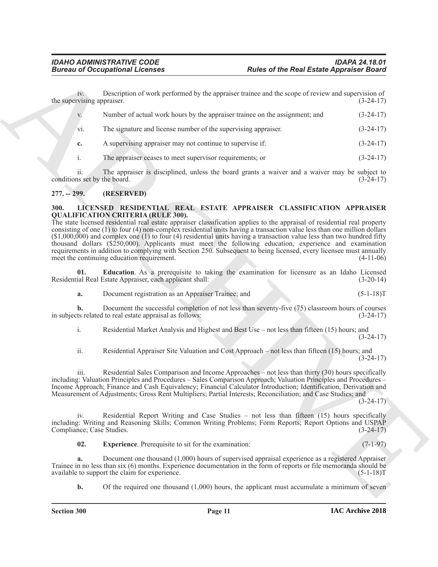| <b>Bureau of Occupational Licenses</b> |                                                                                                                                                                                                                                                                                                                                                                                                                                                                                                                                                                                                                                                                                                                   | <b>Rules of the Real Estate Appraiser Board</b>                                                |             |  |
|----------------------------------------|-------------------------------------------------------------------------------------------------------------------------------------------------------------------------------------------------------------------------------------------------------------------------------------------------------------------------------------------------------------------------------------------------------------------------------------------------------------------------------------------------------------------------------------------------------------------------------------------------------------------------------------------------------------------------------------------------------------------|------------------------------------------------------------------------------------------------|-------------|--|
| 1V.<br>the supervising appraiser.      | Description of work performed by the appraiser trainee and the scope of review and supervision of                                                                                                                                                                                                                                                                                                                                                                                                                                                                                                                                                                                                                 |                                                                                                | $(3-24-17)$ |  |
| V.                                     | Number of actual work hours by the appraiser trainee on the assignment; and                                                                                                                                                                                                                                                                                                                                                                                                                                                                                                                                                                                                                                       |                                                                                                | $(3-24-17)$ |  |
| vi.                                    | The signature and license number of the supervising appraiser.                                                                                                                                                                                                                                                                                                                                                                                                                                                                                                                                                                                                                                                    |                                                                                                | $(3-24-17)$ |  |
| c.                                     | A supervising appraiser may not continue to supervise if:                                                                                                                                                                                                                                                                                                                                                                                                                                                                                                                                                                                                                                                         |                                                                                                | $(3-24-17)$ |  |
| i.                                     | The appraiser ceases to meet supervisor requirements; or                                                                                                                                                                                                                                                                                                                                                                                                                                                                                                                                                                                                                                                          |                                                                                                | $(3-24-17)$ |  |
| ii.<br>conditions set by the board.    | The appraiser is disciplined, unless the board grants a waiver and a waiver may be subject to                                                                                                                                                                                                                                                                                                                                                                                                                                                                                                                                                                                                                     |                                                                                                | $(3-24-17)$ |  |
| $277. - 299.$                          | (RESERVED)                                                                                                                                                                                                                                                                                                                                                                                                                                                                                                                                                                                                                                                                                                        |                                                                                                |             |  |
|                                        | <b>QUALIFICATION CRITERIA (RULE 300).</b><br>The state licensed residential real estate appraiser classification applies to the appraisal of residential real property<br>consisting of one $(1)$ to four $(4)$ non-complex residential units having a transaction value less than one million dollars<br>$(1,000,000)$ and complex one (1) to four (4) residential units having a transaction value less than two hundred fifty<br>thousand dollars $(\$250,000)$ . Applicants must meet the following education, experience and examination<br>requirements in addition to complying with Section 250. Subsequent to being licensed, every licensee must annually<br>meet the continuing education requirement. |                                                                                                | $(4-11-06)$ |  |
| 01.                                    | Education. As a prerequisite to taking the examination for licensure as an Idaho Licensed<br>Residential Real Estate Appraiser, each applicant shall:                                                                                                                                                                                                                                                                                                                                                                                                                                                                                                                                                             |                                                                                                | $(3-20-14)$ |  |
| a.                                     | Document registration as an Appraiser Trainee; and                                                                                                                                                                                                                                                                                                                                                                                                                                                                                                                                                                                                                                                                |                                                                                                | $(5-1-18)T$ |  |
| b.                                     | Document the successful completion of not less than seventy-five (75) classroom hours of courses<br>in subjects related to real estate appraisal as follows:                                                                                                                                                                                                                                                                                                                                                                                                                                                                                                                                                      |                                                                                                | $(3-24-17)$ |  |
| i.                                     | Residential Market Analysis and Highest and Best Use - not less than fifteen (15) hours; and                                                                                                                                                                                                                                                                                                                                                                                                                                                                                                                                                                                                                      |                                                                                                | $(3-24-17)$ |  |
| ii.                                    | Residential Appraiser Site Valuation and Cost Approach – not less than fifteen (15) hours; and                                                                                                                                                                                                                                                                                                                                                                                                                                                                                                                                                                                                                    |                                                                                                | $(3-24-17)$ |  |
| iii.                                   | Residential Sales Comparison and Income Approaches – not less than thirty (30) hours specifically<br>including: Valuation Principles and Procedures - Sales Comparison Approach; Valuation Principles and Procedures -<br>Income Approach; Finance and Cash Equivalency; Financial Calculator Introduction; Identification, Derivation and<br>Measurement of Adjustments; Gross Rent Multipliers; Partial Interests; Reconciliation; and Case Studies; and                                                                                                                                                                                                                                                        |                                                                                                | $(3-24-17)$ |  |
| iv.<br>Compliance; Case Studies.       | Residential Report Writing and Case Studies – not less than fifteen (15) hours specifically<br>including: Writing and Reasoning Skills; Common Writing Problems; Form Reports; Report Options and USPAP                                                                                                                                                                                                                                                                                                                                                                                                                                                                                                           |                                                                                                | $(3-24-17)$ |  |
| 02.                                    | <b>Experience</b> . Prerequisite to sit for the examination:                                                                                                                                                                                                                                                                                                                                                                                                                                                                                                                                                                                                                                                      |                                                                                                | $(7-1-97)$  |  |
| a.                                     | Document one thousand (1,000) hours of supervised appraisal experience as a registered Appraiser<br>Trainee in no less than six (6) months. Experience documentation in the form of reports or file memoranda should be<br>available to support the claim for experience.                                                                                                                                                                                                                                                                                                                                                                                                                                         |                                                                                                | $(5-1-18)T$ |  |
| $\mathbf{b}$ .                         |                                                                                                                                                                                                                                                                                                                                                                                                                                                                                                                                                                                                                                                                                                                   | Of the required one thousand $(1,000)$ hours, the applicant must accumulate a minimum of seven |             |  |

# <span id="page-10-0"></span>**277. -- 299. (RESERVED)**

#### <span id="page-10-4"></span><span id="page-10-3"></span><span id="page-10-2"></span><span id="page-10-1"></span>**300. LICENSED RESIDENTIAL REAL ESTATE APPRAISER CLASSIFICATION APPRAISER QUALIFICATION CRITERIA (RULE 300).**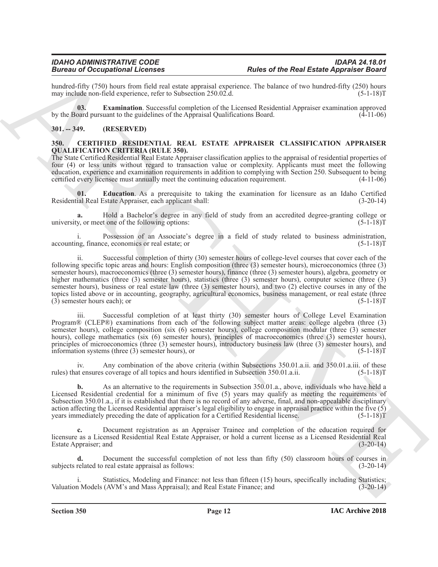hundred-fifty (750) hours from field real estate appraisal experience. The balance of two hundred-fifty (250) hours may include non-field experience, refer to Subsection 250.02.d. may include non-field experience, refer to Subsection 250.02.d.

<span id="page-11-4"></span>**03. Examination**. Successful completion of the Licensed Residential Appraiser examination approved by the Board pursuant to the guidelines of the Appraisal Qualifications Board. (4-11-06)

### <span id="page-11-0"></span>**301. -- 349. (RESERVED)**

#### <span id="page-11-2"></span><span id="page-11-1"></span>**350. CERTIFIED RESIDENTIAL REAL ESTATE APPRAISER CLASSIFICATION APPRAISER QUALIFICATION CRITERIA (RULE 350).**

The State Certified Residential Real Estate Appraiser classification applies to the appraisal of residential properties of four (4) or less units without regard to transaction value or complexity. Applicants must meet the following education, experience and examination requirements in addition to complying with Section 250. Subsequent to being certified every licensee must annually meet the continuing education requirement. (4-11-06)

<span id="page-11-3"></span>**01. Education**. As a prerequisite to taking the examination for licensure as an Idaho Certified ial Real Estate Appraiser, each applicant shall: (3-20-14) Residential Real Estate Appraiser, each applicant shall:

**a.** Hold a Bachelor's degree in any field of study from an accredited degree-granting college or v, or meet one of the following options: university, or meet one of the following options:

i. Possession of an Associate's degree in a field of study related to business administration, ng, finance, economics or real estate; or accounting, finance, economics or real estate; or

Branch of Company and Research Control of the Results and the Research Appendix Company and the Results and the Research of the Results and the Research of the Results and the Research of the Results and the Results and t ii. Successful completion of thirty (30) semester hours of college-level courses that cover each of the following specific topic areas and hours: English composition (three (3) semester hours), microeconomics (three (3) semester hours), macroeconomics (three (3) semester hours), finance (three (3) semester hours), algebra, geometry or higher mathematics (three (3) semester hours), statistics (three (3) semester hours), computer science (three (3) semester hours), business or real estate law (three (3) semester hours), and two (2) elective courses in any of the topics listed above or in accounting, geography, agricultural economics, business management, or real estate (three<br>(3) semester hours each): or  $(5-1-18)T$  $(3)$  semester hours each); or

iii. Successful completion of at least thirty (30) semester hours of College Level Examination Program® (CLEP®) examinations from each of the following subject matter areas: college algebra (three (3) semester hours), college composition (six (6) semester hours), college composition modular (three (3) semester hours), college mathematics (six (6) semester hours), principles of macroeconomics (three (3) semester hours), principles of microeconomics (three (3) semester hours), introductory business law (three (3) semester hours), and information systems (three (3) semester hours), or (5-1-18)T

iv. Any combination of the above criteria (within Subsections 350.01.a.ii. and 350.01.a.iii. of these rules) that ensures coverage of all topics and hours identified in Subsection 350.01.a.ii. (5-1-18)T

**b.** As an alternative to the requirements in Subsection 350.01.a., above, individuals who have held a Licensed Residential credential for a minimum of five (5) years may qualify as meeting the requirements of Subsection 350.01.a., if it is established that there is no record of any adverse, final, and non-appealable disciplinary action affecting the Licensed Residential appraiser's legal eligibility to engage in appraisal practice within the five  $(5)$ years immediately preceding the date of application for a Certified Residential license. (5-1-18)T

**c.** Document registration as an Appraiser Trainee and completion of the education required for licensure as a Licensed Residential Real Estate Appraiser, or hold a current license as a Licensed Residential Real Estate Appraiser; and (3-20-14)

**d.** Document the successful completion of not less than fifty (50) classroom hours of courses in subjects related to real estate appraisal as follows: (3-20-14)

Statistics, Modeling and Finance: not less than fifteen (15) hours, specifically including Statistics; Valuation Models (AVM's and Mass Appraisal); and Real Estate Finance; and (3-20-14)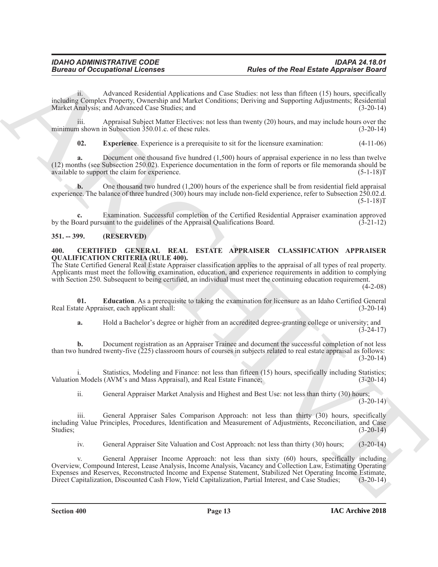ii. Advanced Residential Applications and Case Studies: not less than fifteen (15) hours, specifically including Complex Property, Ownership and Market Conditions; Deriving and Supporting Adjustments; Residential Market Analysis; and Advanced Case Studies; and

iii. Appraisal Subject Matter Electives: not less than twenty (20) hours, and may include hours over the n shown in Subsection 350.01.c. of these rules. (3-20-14) minimum shown in Subsection  $350.01$ .c. of these rules.

<span id="page-12-4"></span>**02. Experience**. Experience is a prerequisite to sit for the licensure examination: (4-11-06)

**a.** Document one thousand five hundred (1,500) hours of appraisal experience in no less than twelve (12) months (see Subsection 250.02). Experience documentation in the form of reports or file memoranda should be available to support the claim for experience.

**b.** One thousand two hundred (1,200) hours of the experience shall be from residential field appraisal experience. The balance of three hundred (300) hours may include non-field experience, refer to Subsection 250.02.d.  $(5-1-18)T$ 

**c.** Examination. Successful completion of the Certified Residential Appraiser examination approved by the Board pursuant to the guidelines of the Appraisal Qualifications Board. (3-21-12)

# <span id="page-12-0"></span>**351. -- 399. (RESERVED)**

### <span id="page-12-2"></span><span id="page-12-1"></span>**400. CERTIFIED GENERAL REAL ESTATE APPRAISER CLASSIFICATION APPRAISER QUALIFICATION CRITERIA (RULE 400).**

The State Certified General Real Estate Appraiser classification applies to the appraisal of all types of real property. Applicants must meet the following examination, education, and experience requirements in addition to complying with Section 250. Subsequent to being certified, an individual must meet the continuing education requirement.

 $(4-2-08)$ 

**01. Education**. As a prerequisite to taking the examination for licensure as an Idaho Certified General Real Estate Appraiser, each applicant shall: (3-20-14)

<span id="page-12-3"></span>**a.** Hold a Bachelor's degree or higher from an accredited degree-granting college or university; and  $(3-24-17)$ 

**b.** Document registration as an Appraiser Trainee and document the successful completion of not less than two hundred twenty-five (225) classroom hours of courses in subjects related to real estate appraisal as follows:  $(3-20-14)$ 

i. Statistics, Modeling and Finance: not less than fifteen (15) hours, specifically including Statistics; Valuation Models (AVM's and Mass Appraisal), and Real Estate Finance; (3-20-14)

ii. General Appraiser Market Analysis and Highest and Best Use: not less than thirty (30) hours;  $(3-20-14)$ 

iii. General Appraiser Sales Comparison Approach: not less than thirty (30) hours, specifically including Value Principles, Procedures, Identification and Measurement of Adjustments, Reconciliation, and Case Studies; (3-20-14)

iv. General Appraiser Site Valuation and Cost Approach: not less than thirty (30) hours; (3-20-14)

**Example 20** Conceptions I. Forming Relations and Cause of the Result Experiment Boson in the state of the Result Applications (and the state of the state of the state of the state of the state of the state of the state o v. General Appraiser Income Approach: not less than sixty (60) hours, specifically including Overview, Compound Interest, Lease Analysis, Income Analysis, Vacancy and Collection Law, Estimating Operating Expenses and Reserves, Reconstructed Income and Expense Statement, Stabilized Net Operating Income Estimate, Direct Capitalization, Discounted Cash Flow, Yield Capitalization, Partial Interest, and Case Studies; (3-20-14)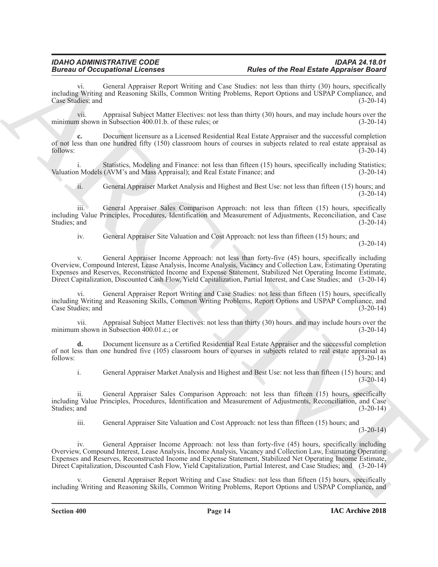General Appraiser Report Writing and Case Studies: not less than thirty (30) hours, specifically including Writing and Reasoning Skills, Common Writing Problems, Report Options and USPAP Compliance, and Case Studies; and (3-20-14)

vii. Appraisal Subject Matter Electives: not less than thirty (30) hours, and may include hours over the minimum shown in Subsection 400.01.b. of these rules; or (3-20-14)

**c.** Document licensure as a Licensed Residential Real Estate Appraiser and the successful completion of not less than one hundred fifty (150) classroom hours of courses in subjects related to real estate appraisal as follows: (3-20-14)

i. Statistics, Modeling and Finance: not less than fifteen (15) hours, specifically including Statistics;<br>n Models (AVM's and Mass Appraisal); and Real Estate Finance; and (3-20-14) Valuation Models (AVM's and Mass Appraisal); and Real Estate Finance; and

ii. General Appraiser Market Analysis and Highest and Best Use: not less than fifteen (15) hours; and  $(3-20-14)$ 

iii. General Appraiser Sales Comparison Approach: not less than fifteen (15) hours, specifically including Value Principles, Procedures, Identification and Measurement of Adjustments, Reconciliation, and Case Studies; and (3-20-14)

iv. General Appraiser Site Valuation and Cost Approach: not less than fifteen (15) hours; and  $(3-20-14)$ 

**Extracts of Occupation of Lenstrans Properties Properties Properties Properties Properties Properties Properties Properties Properties Properties Properties Properties Properties Properties** General Appraiser Income Approach: not less than forty-five (45) hours, specifically including Overview, Compound Interest, Lease Analysis, Income Analysis, Vacancy and Collection Law, Estimating Operating Expenses and Reserves, Reconstructed Income and Expense Statement, Stabilized Net Operating Income Estimate, Direct Capitalization, Discounted Cash Flow, Yield Capitalization, Partial Interest, and Case Studies; and (3-20-14)

General Appraiser Report Writing and Case Studies: not less than fifteen (15) hours, specifically including Writing and Reasoning Skills, Common Writing Problems, Report Options and USPAP Compliance, and Case Studies; and (3-20-14) (3-20-14)

vii. Appraisal Subject Matter Electives: not less than thirty (30) hours, and may include hours over the n shown in Subsection 400.01.c.; or minimum shown in Subsection  $400.01.c.;$  or

**d.** Document licensure as a Certified Residential Real Estate Appraiser and the successful completion of not less than one hundred five (105) classroom hours of courses in subjects related to real estate appraisal as follows: (3-20-14)

i. General Appraiser Market Analysis and Highest and Best Use: not less than fifteen (15) hours; and  $(3-20-14)$ 

ii. General Appraiser Sales Comparison Approach: not less than fifteen (15) hours, specifically including Value Principles, Procedures, Identification and Measurement of Adjustments, Reconciliation, and Case Studies; and (3-20-14)

iii. General Appraiser Site Valuation and Cost Approach: not less than fifteen (15) hours; and

 $(3-20-14)$ 

iv. General Appraiser Income Approach: not less than forty-five (45) hours, specifically including Overview, Compound Interest, Lease Analysis, Income Analysis, Vacancy and Collection Law, Estimating Operating Expenses and Reserves, Reconstructed Income and Expense Statement, Stabilized Net Operating Income Estimate, Direct Capitalization, Discounted Cash Flow, Yield Capitalization, Partial Interest, and Case Studies; and (3-20-14)

General Appraiser Report Writing and Case Studies: not less than fifteen (15) hours, specifically including Writing and Reasoning Skills, Common Writing Problems, Report Options and USPAP Compliance, and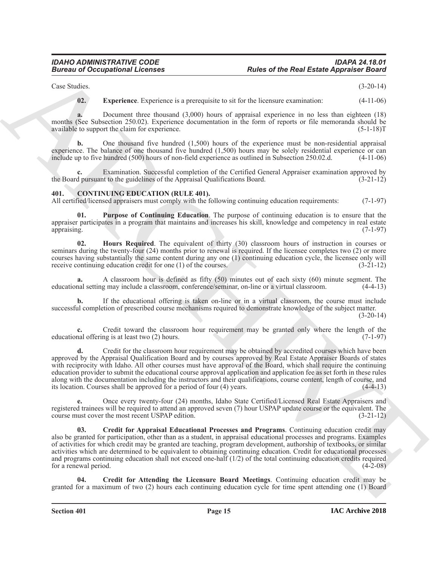# *IDAHO ADMINISTRATIVE CODE IDAPA 24.18.01* **Rules of the Real Estate Appraiser Board**

Case Studies. (3-20-14)

<span id="page-14-1"></span>**02. Experience**. Experience is a prerequisite to sit for the licensure examination: (4-11-06)

**a.** Document three thousand (3,000) hours of appraisal experience in no less than eighteen (18) months (See Subsection 250.02). Experience documentation in the form of reports or file memoranda should be available to support the claim for experience. available to support the claim for experience.

**b.** One thousand five hundred (1,500) hours of the experience must be non-residential appraisal experience. The balance of one thousand five hundred  $(1,500)$  hours may be solely residential experience or can include up to five hundred  $(500)$  hours of non-field experience as outlined in Subsection 250.02.d.  $(4-11$ include up to five hundred (500) hours of non-field experience as outlined in Subsection 250.02.d.

**c.** Examination. Successful completion of the Certified General Appraiser examination approved by the Board pursuant to the guidelines of the Appraisal Qualifications Board. (3-21-12)

### <span id="page-14-2"></span><span id="page-14-0"></span>**401. CONTINUING EDUCATION (RULE 401).**

All certified/licensed appraisers must comply with the following continuing education requirements: (7-1-97)

<span id="page-14-6"></span>**01. Purpose of Continuing Education**. The purpose of continuing education is to ensure that the appraiser participates in a program that maintains and increases his skill, knowledge and competency in real estate appraising. (7-1-97)

<span id="page-14-5"></span>**02. Hours Required**. The equivalent of thirty (30) classroom hours of instruction in courses or seminars during the twenty-four (24) months prior to renewal is required. If the licensee completes two (2) or more courses having substantially the same content during any one (1) continuing education cycle, the licensee only will receive continuing education credit for one (1) of the courses. (3-21-12) receive continuing education credit for one  $(1)$  of the courses.

**a.** A classroom hour is defined as fifty (50) minutes out of each sixty (60) minute segment. The educational setting may include a classroom, conference/seminar, on-line or a virtual classroom. (4-4-13)

**b.** If the educational offering is taken on-line or in a virtual classroom, the course must include successful completion of prescribed course mechanisms required to demonstrate knowledge of the subject matter.

 $(3-20-14)$ 

**c.** Credit toward the classroom hour requirement may be granted only where the length of the educational offering is at least two (2) hours. (7-1-97)

**Euros of Occupations I.** Franchises **Rubber of the Real Estate Appenses Convey (1998)**<br>
Convey and The Convey and DVD boxes of the real entropy and the real entropy (4) 140<br>
The Convey and DVD boxes of a general entropy **d.** Credit for the classroom hour requirement may be obtained by accredited courses which have been approved by the Appraisal Qualification Board and by courses approved by Real Estate Appraiser Boards of states with reciprocity with Idaho. All other courses must have approval of the Board, which shall require the continuing education provider to submit the educational course approval application and application fee as set forth in these rules along with the documentation including the instructors and their qualifications, course content, length of course, and its location. Courses shall be approved for a period of four (4) years. (4-4-13)

**e.** Once every twenty-four (24) months, Idaho State Certified/Licensed Real Estate Appraisers and registered trainees will be required to attend an approved seven (7) hour USPAP update course or the equivalent. The course must cover the most recent USPAP edition. (3-21-12)

<span id="page-14-3"></span>**03. Credit for Appraisal Educational Processes and Programs**. Continuing education credit may also be granted for participation, other than as a student, in appraisal educational processes and programs. Examples of activities for which credit may be granted are teaching, program development, authorship of textbooks, or similar activities which are determined to be equivalent to obtaining continuing education. Credit for educational processes and programs continuing education shall not exceed one-half (1/2) of the total continuing education credits required for a renewal period. (4-2-08)

<span id="page-14-4"></span>**04. Credit for Attending the Licensure Board Meetings**. Continuing education credit may be granted for a maximum of two (2) hours each continuing education cycle for time spent attending one (1) Board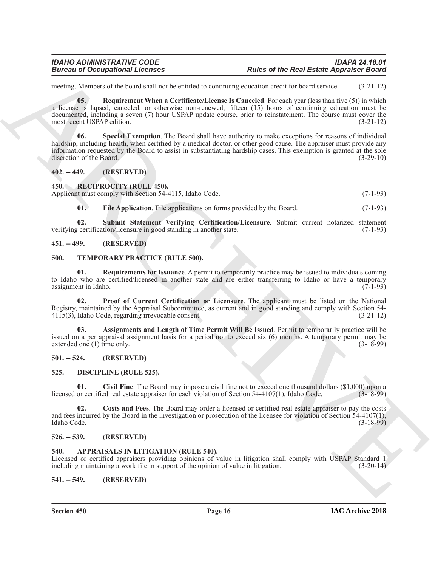<span id="page-15-10"></span>meeting. Members of the board shall not be entitled to continuing education credit for board service. (3-21-12)

**Electron of Occupations I.** Fourtee **Reading the Reading Section 12** and the state Appendix Reading Mattern of the USA (1971-12)<br>
The state of the USA (West Contributed Lense In Consider The and Mattern Constitute (1972-**05. Requirement When a Certificate/License Is Canceled**. For each year (less than five (5)) in which a license is lapsed, canceled, or otherwise non-renewed, fifteen (15) hours of continuing education must be documented, including a seven (7) hour USPAP update course, prior to reinstatement. The course must cover the most recent USPAP edition. (3-21-12)

<span id="page-15-11"></span>**06. Special Exemption**. The Board shall have authority to make exceptions for reasons of individual hardship, including health, when certified by a medical doctor, or other good cause. The appraiser must provide any information requested by the Board to assist in substantiating hardship cases. This exemption is granted at the sole discretion of the Board. (3-29-10)

### <span id="page-15-0"></span>**402. -- 449. (RESERVED)**

<span id="page-15-15"></span><span id="page-15-1"></span>**450. RECIPROCITY (RULE 450).**

Applicant must comply with Section 54-4115, Idaho Code. (7-1-93)

<span id="page-15-17"></span><span id="page-15-16"></span>**01.** File Application. File applications on forms provided by the Board. (7-1-93)

**02. Submit Statement Verifying Certification/Licensure**. Submit current notarized statement verifying certification/licensure in good standing in another state. (7-1-93)

### <span id="page-15-2"></span>**451. -- 499. (RESERVED)**

#### <span id="page-15-18"></span><span id="page-15-3"></span>**500. TEMPORARY PRACTICE (RULE 500).**

<span id="page-15-21"></span>**01. Requirements for Issuance**. A permit to temporarily practice may be issued to individuals coming to Idaho who are certified/licensed in another state and are either transferring to Idaho or have a temporary assignment in Idaho. (7-1-93)

<span id="page-15-20"></span>**02. Proof of Current Certification or Licensure**. The applicant must be listed on the National Registry, maintained by the Appraisal Subcommittee, as current and in good standing and comply with Section 54- 4115(3), Idaho Code, regarding irrevocable consent. (3-21-12)

<span id="page-15-19"></span>**03. Assignments and Length of Time Permit Will Be Issued**. Permit to temporarily practice will be issued on a per appraisal assignment basis for a period not to exceed six (6) months. A temporary permit may be extended one  $(1)$  time only.

# <span id="page-15-4"></span>**501. -- 524. (RESERVED)**

#### <span id="page-15-12"></span><span id="page-15-5"></span>**525. DISCIPLINE (RULE 525).**

<span id="page-15-13"></span>**01.** Civil Fine. The Board may impose a civil fine not to exceed one thousand dollars (\$1,000) upon a or certified real estate appraiser for each violation of Section 54-4107(1), Idaho Code. (3-18-99) licensed or certified real estate appraiser for each violation of Section  $54-4107(1)$ , Idaho Code.

<span id="page-15-14"></span>**02. Costs and Fees**. The Board may order a licensed or certified real estate appraiser to pay the costs and fees incurred by the Board in the investigation or prosecution of the licensee for violation of Section 54-4107(1), Idaho Code. (3-18-99)

# <span id="page-15-6"></span>**526. -- 539. (RESERVED)**

#### <span id="page-15-9"></span><span id="page-15-7"></span>**540. APPRAISALS IN LITIGATION (RULE 540).**

Licensed or certified appraisers providing opinions of value in litigation shall comply with USPAP Standard 1 including maintaining a work file in support of the opinion of value in litigation. (3-20-14)

<span id="page-15-8"></span>**541. -- 549. (RESERVED)**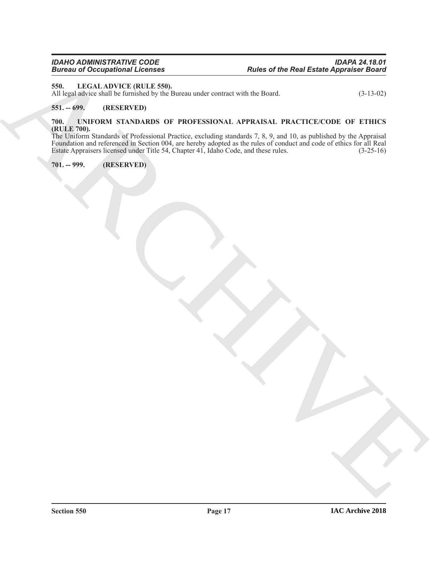# <span id="page-16-4"></span><span id="page-16-0"></span>**550. LEGAL ADVICE (RULE 550).**

All legal advice shall be furnished by the Bureau under contract with the Board. (3-13-02)

# <span id="page-16-1"></span>**551. -- 699. (RESERVED)**

# <span id="page-16-5"></span><span id="page-16-2"></span>**700. UNIFORM STANDARDS OF PROFESSIONAL APPRAISAL PRACTICE/CODE OF ETHICS (RULE 700).**

**Bruce of the Real Estate Appendix Items**<br>
ARCHIVECHE (NUME 459)<br>
ARCHIVECHE (NUME 459)<br>
ARCHIVECHE (NUME 459)<br>
ARCHIVECHE (NUME ARCHIVECHE SERVICE)<br>
THE LINE OF THE STATE (NUME ARCHIVECHE SERVICE)<br>
THE LINE OF THE STATE The Uniform Standards of Professional Practice, excluding standards 7, 8, 9, and 10, as published by the Appraisal Foundation and referenced in Section 004, are hereby adopted as the rules of conduct and code of ethics for all Real Estate Appraisers licensed under Title 54, Chapter 41, Idaho Code, and these rules. (3-25-16)

# <span id="page-16-3"></span>**701. -- 999. (RESERVED)**